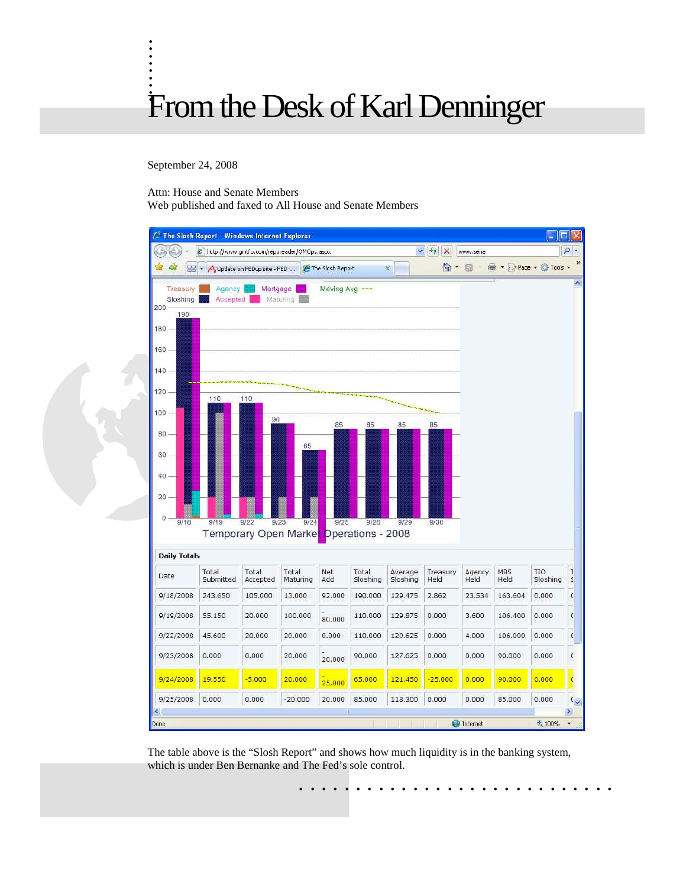## . . . From the Desk of Karl Denninger

September 24, 2008

. . . . . .

Attn: House and Senate Members

Web published and faxed to All House and Senate Members



The table above is the "Slosh Report" and shows how much liquidity is in the banking system, which is under Ben Bernanke and The Fed's sole control.

. . . . . . . . . . . . . . . . . . . . . . . . . . . .